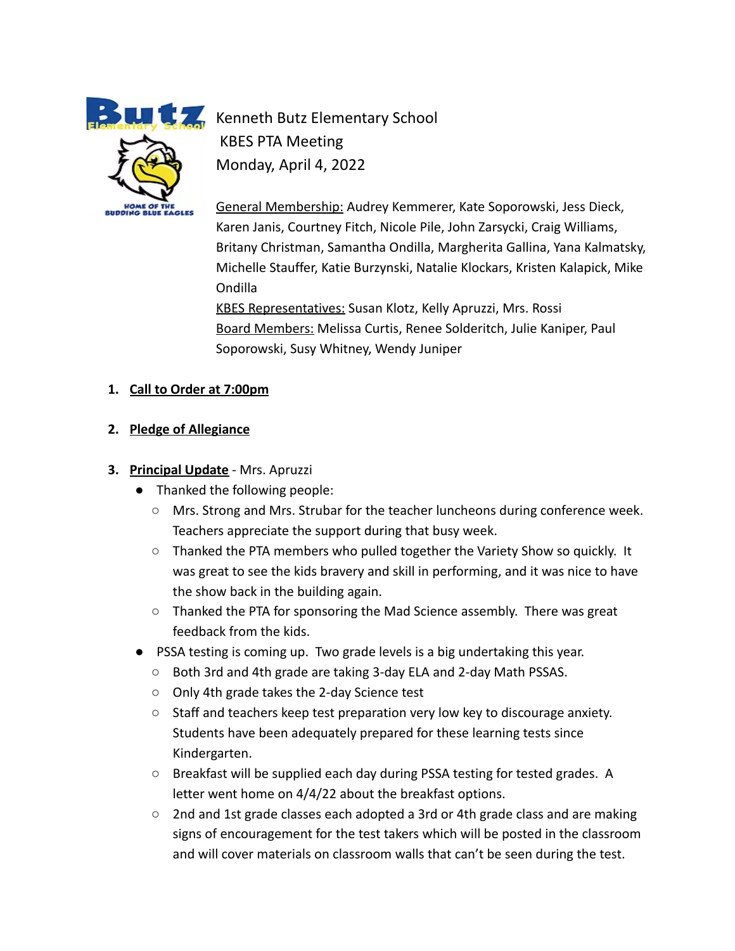

**Kenneth Butz Elementary School** KBES PTA Meeting Monday, April 4, 2022

> General Membership: Audrey Kemmerer, Kate Soporowski, Jess Dieck, Karen Janis, Courtney Fitch, Nicole Pile, John Zarsycki, Craig Williams, Britany Christman, Samantha Ondilla, Margherita Gallina, Yana Kalmatsky, Michelle Stauffer, Katie Burzynski, Natalie Klockars, Kristen Kalapick, Mike Ondilla KBES Representatives: Susan Klotz, Kelly Apruzzi, Mrs. Rossi

Board Members: Melissa Curtis, Renee Solderitch, Julie Kaniper, Paul Soporowski, Susy Whitney, Wendy Juniper

### **1. Call to Order at 7:00pm**

**2. Pledge of Allegiance**

## **3. Principal Update** - Mrs. Apruzzi

- Thanked the following people:
	- Mrs. Strong and Mrs. Strubar for the teacher luncheons during conference week. Teachers appreciate the support during that busy week.
	- Thanked the PTA members who pulled together the Variety Show so quickly. It was great to see the kids bravery and skill in performing, and it was nice to have the show back in the building again.
	- $\circ$  Thanked the PTA for sponsoring the Mad Science assembly. There was great feedback from the kids.
- PSSA testing is coming up. Two grade levels is a big undertaking this year.
	- Both 3rd and 4th grade are taking 3-day ELA and 2-day Math PSSAS.
	- Only 4th grade takes the 2-day Science test
	- Staff and teachers keep test preparation very low key to discourage anxiety. Students have been adequately prepared for these learning tests since Kindergarten.
	- Breakfast will be supplied each day during PSSA testing for tested grades. A letter went home on 4/4/22 about the breakfast options.
	- $\circ$  2nd and 1st grade classes each adopted a 3rd or 4th grade class and are making signs of encouragement for the test takers which will be posted in the classroom and will cover materials on classroom walls that can't be seen during the test.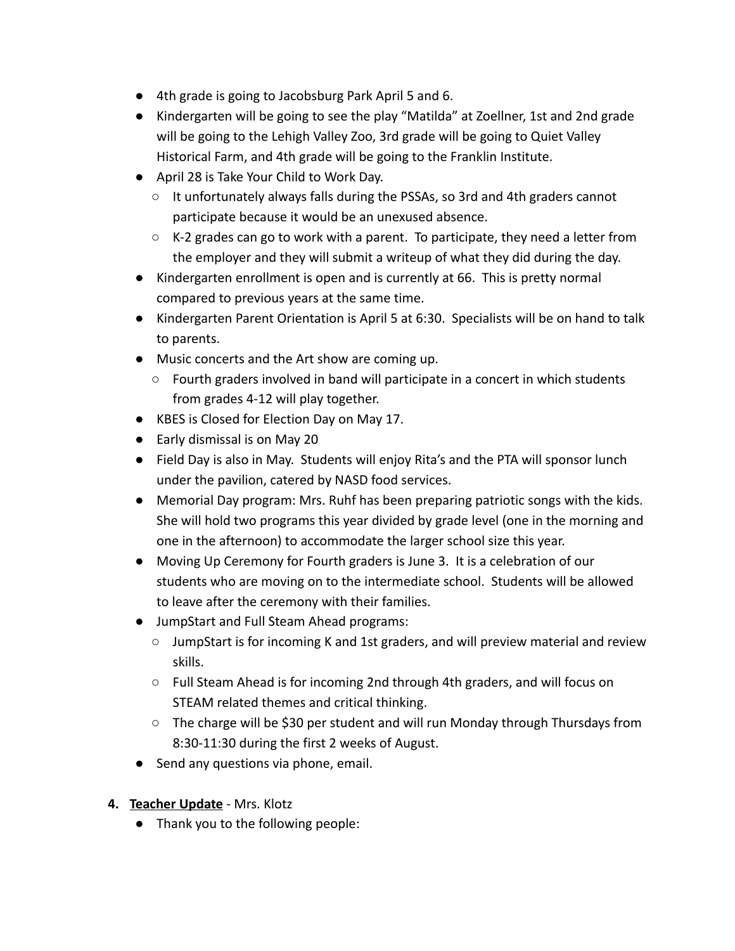- 4th grade is going to Jacobsburg Park April 5 and 6.
- Kindergarten will be going to see the play "Matilda" at Zoellner, 1st and 2nd grade will be going to the Lehigh Valley Zoo, 3rd grade will be going to Quiet Valley Historical Farm, and 4th grade will be going to the Franklin Institute.
- April 28 is Take Your Child to Work Day.
	- It unfortunately always falls during the PSSAs, so 3rd and 4th graders cannot participate because it would be an unexused absence.
	- K-2 grades can go to work with a parent. To participate, they need a letter from the employer and they will submit a writeup of what they did during the day.
- Kindergarten enrollment is open and is currently at 66. This is pretty normal compared to previous years at the same time.
- Kindergarten Parent Orientation is April 5 at 6:30. Specialists will be on hand to talk to parents.
- Music concerts and the Art show are coming up.
	- Fourth graders involved in band will participate in a concert in which students from grades 4-12 will play together.
- KBES is Closed for Election Day on May 17.
- Early dismissal is on May 20
- Field Day is also in May. Students will enjoy Rita's and the PTA will sponsor lunch under the pavilion, catered by NASD food services.
- Memorial Day program: Mrs. Ruhf has been preparing patriotic songs with the kids. She will hold two programs this year divided by grade level (one in the morning and one in the afternoon) to accommodate the larger school size this year.
- Moving Up Ceremony for Fourth graders is June 3. It is a celebration of our students who are moving on to the intermediate school. Students will be allowed to leave after the ceremony with their families.
- JumpStart and Full Steam Ahead programs:
	- $\circ$  JumpStart is for incoming K and 1st graders, and will preview material and review skills.
	- Full Steam Ahead is for incoming 2nd through 4th graders, and will focus on STEAM related themes and critical thinking.
	- The charge will be \$30 per student and will run Monday through Thursdays from 8:30-11:30 during the first 2 weeks of August.
- Send any questions via phone, email.
- **4. Teacher Update** Mrs. Klotz
	- Thank you to the following people: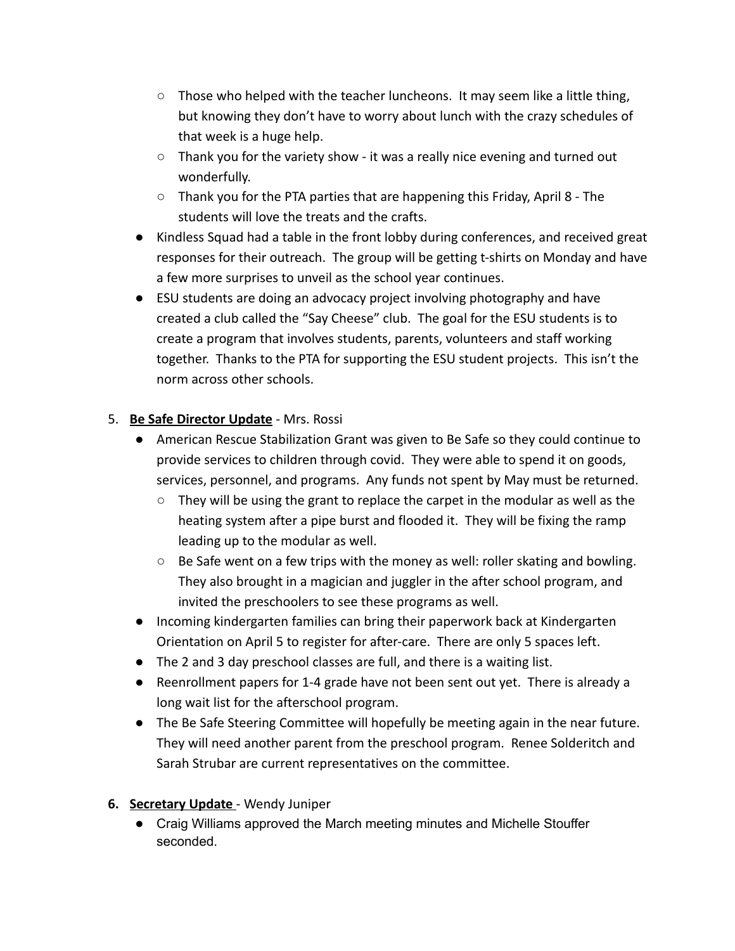- $\circ$  Those who helped with the teacher luncheons. It may seem like a little thing, but knowing they don't have to worry about lunch with the crazy schedules of that week is a huge help.
- $\circ$  Thank you for the variety show it was a really nice evening and turned out wonderfully.
- Thank you for the PTA parties that are happening this Friday, April 8 The students will love the treats and the crafts.
- Kindless Squad had a table in the front lobby during conferences, and received great responses for their outreach. The group will be getting t-shirts on Monday and have a few more surprises to unveil as the school year continues.
- ESU students are doing an advocacy project involving photography and have created a club called the "Say Cheese" club. The goal for the ESU students is to create a program that involves students, parents, volunteers and staff working together. Thanks to the PTA for supporting the ESU student projects. This isn't the norm across other schools.

## 5. **Be Safe Director Update** - Mrs. Rossi

- American Rescue Stabilization Grant was given to Be Safe so they could continue to provide services to children through covid. They were able to spend it on goods, services, personnel, and programs. Any funds not spent by May must be returned.
	- $\circ$  They will be using the grant to replace the carpet in the modular as well as the heating system after a pipe burst and flooded it. They will be fixing the ramp leading up to the modular as well.
	- Be Safe went on a few trips with the money as well: roller skating and bowling. They also brought in a magician and juggler in the after school program, and invited the preschoolers to see these programs as well.
- Incoming kindergarten families can bring their paperwork back at Kindergarten Orientation on April 5 to register for after-care. There are only 5 spaces left.
- The 2 and 3 day preschool classes are full, and there is a waiting list.
- Reenrollment papers for 1-4 grade have not been sent out yet. There is already a long wait list for the afterschool program.
- The Be Safe Steering Committee will hopefully be meeting again in the near future. They will need another parent from the preschool program. Renee Solderitch and Sarah Strubar are current representatives on the committee.

#### **6. Secretary Update** - Wendy Juniper

● Craig Williams approved the March meeting minutes and Michelle Stouffer seconded.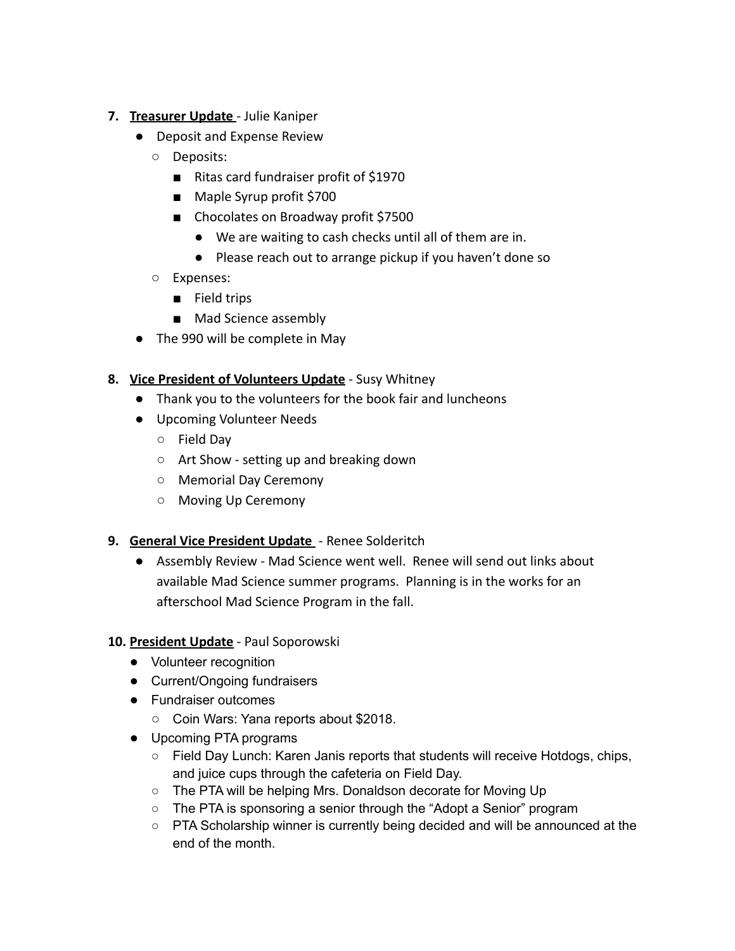- **7. Treasurer Update** Julie Kaniper
	- Deposit and Expense Review
		- Deposits:
			- Ritas card fundraiser profit of \$1970
			- Maple Syrup profit \$700
			- Chocolates on Broadway profit \$7500
				- We are waiting to cash checks until all of them are in.
				- Please reach out to arrange pickup if you haven't done so
		- Expenses:
			- Field trips
			- Mad Science assembly
	- The 990 will be complete in May
- **8. Vice President of Volunteers Update** Susy Whitney
	- Thank you to the volunteers for the book fair and luncheons
	- Upcoming Volunteer Needs
		- Field Day
		- Art Show setting up and breaking down
		- Memorial Day Ceremony
		- Moving Up Ceremony

#### **9. General Vice President Update** - Renee Solderitch

● Assembly Review - Mad Science went well. Renee will send out links about available Mad Science summer programs. Planning is in the works for an afterschool Mad Science Program in the fall.

#### **10. President Update** - Paul Soporowski

- Volunteer recognition
- Current/Ongoing fundraisers
- Fundraiser outcomes
	- Coin Wars: Yana reports about \$2018.
- Upcoming PTA programs
	- Field Day Lunch: Karen Janis reports that students will receive Hotdogs, chips, and juice cups through the cafeteria on Field Day.
	- The PTA will be helping Mrs. Donaldson decorate for Moving Up
	- The PTA is sponsoring a senior through the "Adopt a Senior" program
	- PTA Scholarship winner is currently being decided and will be announced at the end of the month.